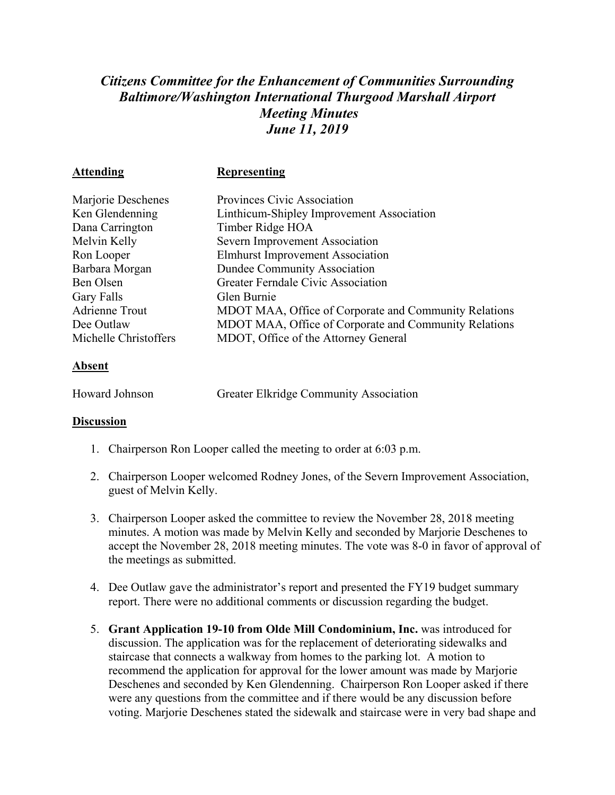## *Citizens Committee for the Enhancement of Communities Surrounding Baltimore/Washington International Thurgood Marshall Airport Meeting Minutes June 11, 2019*

| <b>Attending</b>      | <b>Representing</b>                                   |
|-----------------------|-------------------------------------------------------|
| Marjorie Deschenes    | Provinces Civic Association                           |
| Ken Glendenning       | Linthicum-Shipley Improvement Association             |
| Dana Carrington       | Timber Ridge HOA                                      |
| Melvin Kelly          | Severn Improvement Association                        |
| Ron Looper            | <b>Elmhurst Improvement Association</b>               |
| Barbara Morgan        | <b>Dundee Community Association</b>                   |
| Ben Olsen             | Greater Ferndale Civic Association                    |
| Gary Falls            | Glen Burnie                                           |
| <b>Adrienne Trout</b> | MDOT MAA, Office of Corporate and Community Relations |
| Dee Outlaw            | MDOT MAA, Office of Corporate and Community Relations |
| Michelle Christoffers | MDOT, Office of the Attorney General                  |

## **Absent**

| <b>Howard Johnson</b> | Greater Elkridge Community Association |
|-----------------------|----------------------------------------|
|                       |                                        |

## **Discussion**

- 1. Chairperson Ron Looper called the meeting to order at 6:03 p.m.
- 2. Chairperson Looper welcomed Rodney Jones, of the Severn Improvement Association, guest of Melvin Kelly.
- 3. Chairperson Looper asked the committee to review the November 28, 2018 meeting minutes. A motion was made by Melvin Kelly and seconded by Marjorie Deschenes to accept the November 28, 2018 meeting minutes. The vote was 8-0 in favor of approval of the meetings as submitted.
- 4. Dee Outlaw gave the administrator's report and presented the FY19 budget summary report. There were no additional comments or discussion regarding the budget.
- 5. **Grant Application 19-10 from Olde Mill Condominium, Inc.** was introduced for discussion. The application was for the replacement of deteriorating sidewalks and staircase that connects a walkway from homes to the parking lot. A motion to recommend the application for approval for the lower amount was made by Marjorie Deschenes and seconded by Ken Glendenning. Chairperson Ron Looper asked if there were any questions from the committee and if there would be any discussion before voting. Marjorie Deschenes stated the sidewalk and staircase were in very bad shape and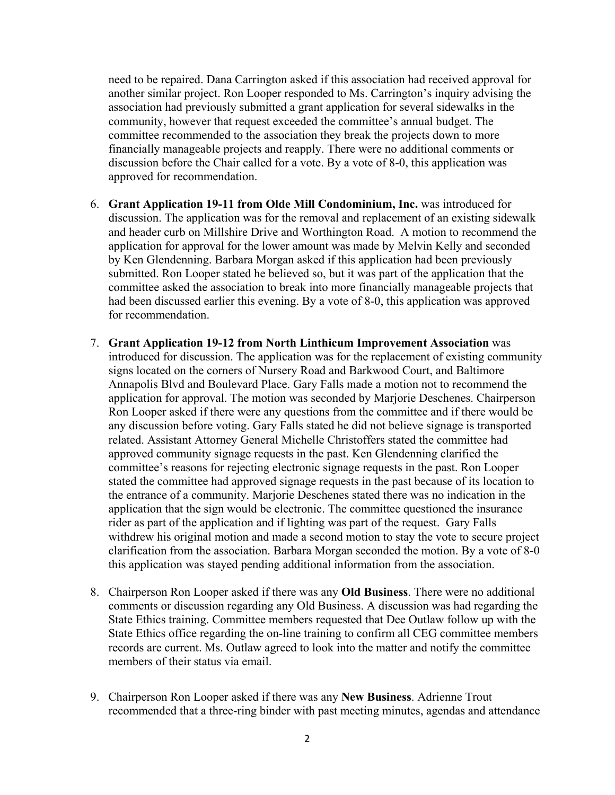need to be repaired. Dana Carrington asked if this association had received approval for another similar project. Ron Looper responded to Ms. Carrington's inquiry advising the association had previously submitted a grant application for several sidewalks in the community, however that request exceeded the committee's annual budget. The committee recommended to the association they break the projects down to more financially manageable projects and reapply. There were no additional comments or discussion before the Chair called for a vote. By a vote of 8-0, this application was approved for recommendation.

- 6. **Grant Application 19-11 from Olde Mill Condominium, Inc.** was introduced for discussion. The application was for the removal and replacement of an existing sidewalk and header curb on Millshire Drive and Worthington Road. A motion to recommend the application for approval for the lower amount was made by Melvin Kelly and seconded by Ken Glendenning. Barbara Morgan asked if this application had been previously submitted. Ron Looper stated he believed so, but it was part of the application that the committee asked the association to break into more financially manageable projects that had been discussed earlier this evening. By a vote of 8-0, this application was approved for recommendation.
- 7. **Grant Application 19-12 from North Linthicum Improvement Association** was introduced for discussion. The application was for the replacement of existing community signs located on the corners of Nursery Road and Barkwood Court, and Baltimore Annapolis Blvd and Boulevard Place. Gary Falls made a motion not to recommend the application for approval. The motion was seconded by Marjorie Deschenes. Chairperson Ron Looper asked if there were any questions from the committee and if there would be any discussion before voting. Gary Falls stated he did not believe signage is transported related. Assistant Attorney General Michelle Christoffers stated the committee had approved community signage requests in the past. Ken Glendenning clarified the committee's reasons for rejecting electronic signage requests in the past. Ron Looper stated the committee had approved signage requests in the past because of its location to the entrance of a community. Marjorie Deschenes stated there was no indication in the application that the sign would be electronic. The committee questioned the insurance rider as part of the application and if lighting was part of the request. Gary Falls withdrew his original motion and made a second motion to stay the vote to secure project clarification from the association. Barbara Morgan seconded the motion. By a vote of 8-0 this application was stayed pending additional information from the association.
- 8. Chairperson Ron Looper asked if there was any **Old Business**. There were no additional comments or discussion regarding any Old Business. A discussion was had regarding the State Ethics training. Committee members requested that Dee Outlaw follow up with the State Ethics office regarding the on-line training to confirm all CEG committee members records are current. Ms. Outlaw agreed to look into the matter and notify the committee members of their status via email.
- 9. Chairperson Ron Looper asked if there was any **New Business**. Adrienne Trout recommended that a three-ring binder with past meeting minutes, agendas and attendance